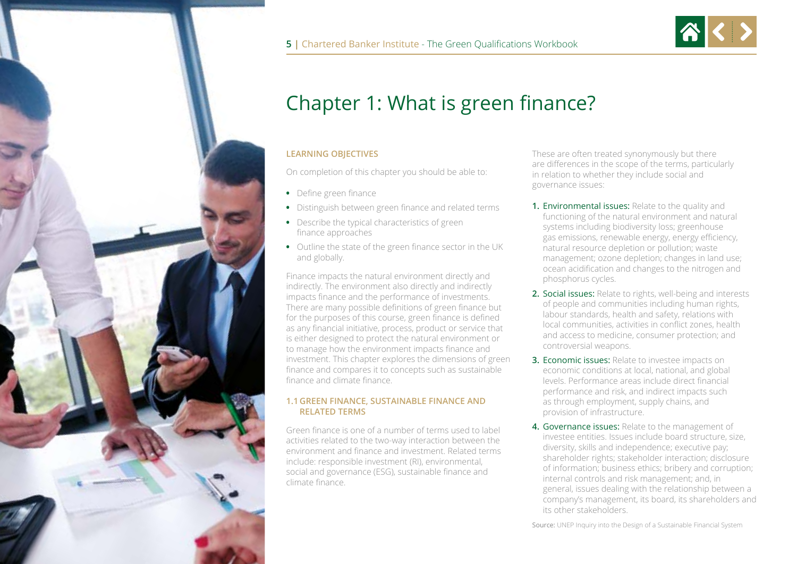



# Chapter 1: What is green finance?

#### **LEARNING OBJECTIVES**

On completion of this chapter you should be able to:

- **•** Define green finance
- **•** Distinguish between green finance and related terms
- **•** Describe the typical characteristics of green finance approaches
- **•** Outline the state of the green finance sector in the UK and globally.

Finance impacts the natural environment directly and indirectly. The environment also directly and indirectly impacts finance and the performance of investments. There are many possible definitions of green finance but for the purposes of this course, green finance is defined as any financial initiative, process, product or service that is either designed to protect the natural environment or to manage how the environment impacts finance and investment. This chapter explores the dimensions of green finance and compares it to concepts such as sustainable finance and climate finance.

#### **1.1 GREEN FINANCE, SUSTAINABLE FINANCE AND RELATED TERMS**

Green finance is one of a number of terms used to label activities related to the two-way interaction between the environment and finance and investment. Related terms include: responsible investment (RI), environmental, social and governance (ESG), sustainable finance and climate finance.

These are often treated synonymously but there are differences in the scope of the terms, particularly in relation to whether they include social and governance issues:

- **1.** Environmental issues: Relate to the quality and functioning of the natural environment and natural systems including biodiversity loss; greenhouse gas emissions, renewable energy, energy efficiency, natural resource depletion or pollution; waste management; ozone depletion; changes in land use; ocean acidification and changes to the nitrogen and phosphorus cycles.
- **2.** Social issues: Relate to rights, well-being and interests of people and communities including human rights, labour standards, health and safety, relations with local communities, activities in conflict zones, health and access to medicine, consumer protection; and controversial weapons.
- **3. Economic issues:** Relate to investee impacts on economic conditions at local, national, and global levels. Performance areas include direct financial performance and risk, and indirect impacts such as through employment, supply chains, and provision of infrastructure.
- **4.** Governance issues: Relate to the management of investee entities. Issues include board structure, size, diversity, skills and independence; executive pay; shareholder rights; stakeholder interaction; disclosure of information; business ethics; bribery and corruption; internal controls and risk management; and, in general, issues dealing with the relationship between a company's management, its board, its shareholders and its other stakeholders.

Source: UNEP Inquiry into the Design of a Sustainable Financial System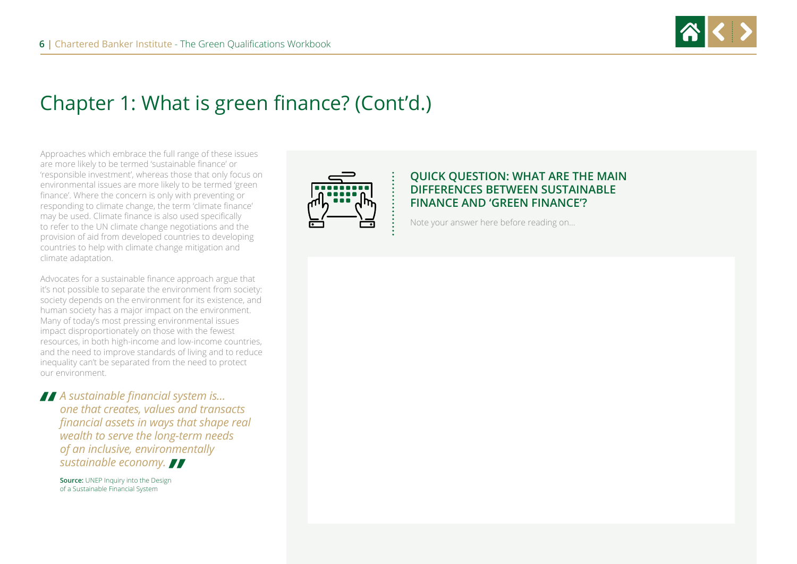

Approaches which embrace the full range of these issues are more likely to be termed 'sustainable finance' or 'responsible investment', whereas those that only focus on environmental issues are more likely to be termed 'green finance'. Where the concern is only with preventing or responding to climate change, the term 'climate finance' may be used. Climate finance is also used specifically to refer to the UN climate change negotiations and the provision of aid from developed countries to developing countries to help with climate change mitigation and climate adaptation.

Advocates for a sustainable finance approach argue that it's not possible to separate the environment from society: society depends on the environment for its existence, and human society has a major impact on the environment. Many of today's most pressing environmental issues impact disproportionately on those with the fewest resources, in both high-income and low-income countries, and the need to improve standards of living and to reduce inequality can't be separated from the need to protect our environment.

*A* sustainable financial system is...<br>
one that creates, values and transe<br>
financial assets in ways that shape *one that creates, values and transacts financial assets in ways that shape real wealth to serve the long-term needs of an inclusive, environmentally sustainable economy. "*

**Source:** UNEP Inquiry into the Design of a Sustainable Financial System



### **QUICK QUESTION: WHAT ARE THE MAIN DIFFERENCES BETWEEN SUSTAINABLE FINANCE AND 'GREEN FINANCE'?**

Note your answer here before reading on…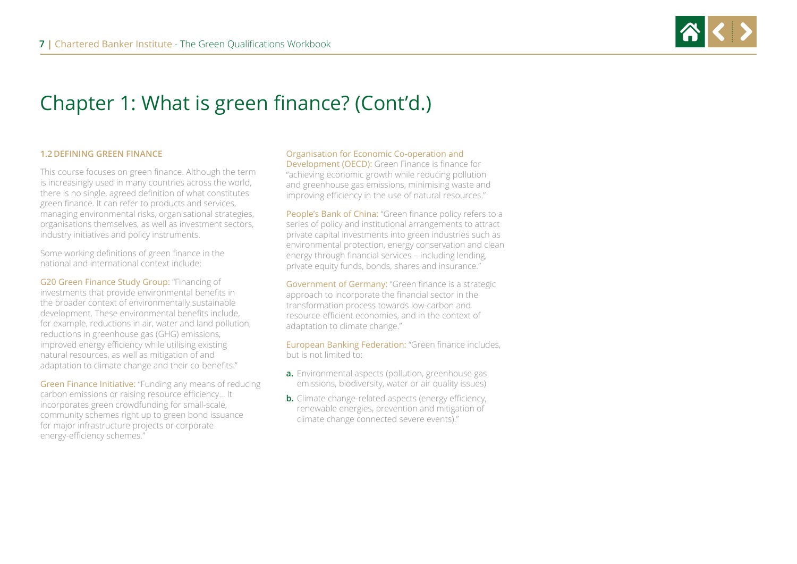

#### **1.2 DEFINING GREEN FINANCE**

This course focuses on green finance. Although the term is increasingly used in many countries across the world, there is no single, agreed definition of what constitutes green finance. It can refer to products and services, managing environmental risks, organisational strategies, organisations themselves, as well as investment sectors, industry initiatives and policy instruments.

Some working definitions of green finance in the national and international context include:

G20 Green Finance Study Group: "Financing of investments that provide environmental benefits in the broader context of environmentally sustainable development. These environmental benefits include, for example, reductions in air, water and land pollution, reductions in greenhouse gas (GHG) emissions, improved energy efficiency while utilising existing natural resources, as well as mitigation of and adaptation to climate change and their co-benefits."

Green Finance Initiative: "Funding any means of reducing carbon emissions or raising resource efficiency... It incorporates green crowdfunding for small-scale, community schemes right up to green bond issuance for major infrastructure projects or corporate energy-efficiency schemes."

#### Organisation for Economic Co-operation and

Development (OECD): Green Finance is finance for "achieving economic growth while reducing pollution and greenhouse gas emissions, minimising waste and improving efficiency in the use of natural resources."

People's Bank of China: "Green finance policy refers to a series of policy and institutional arrangements to attract private capital investments into green industries such as environmental protection, energy conservation and clean energy through financial services – including lending, private equity funds, bonds, shares and insurance."

Government of Germany: "Green finance is a strategic approach to incorporate the financial sector in the transformation process towards low-carbon and resource-efficient economies, and in the context of adaptation to climate change."

European Banking Federation: "Green finance includes, but is not limited to:

- **a.** Environmental aspects (pollution, greenhouse gas emissions, biodiversity, water or air quality issues)
- **b.** Climate change-related aspects (energy efficiency, renewable energies, prevention and mitigation of climate change connected severe events)."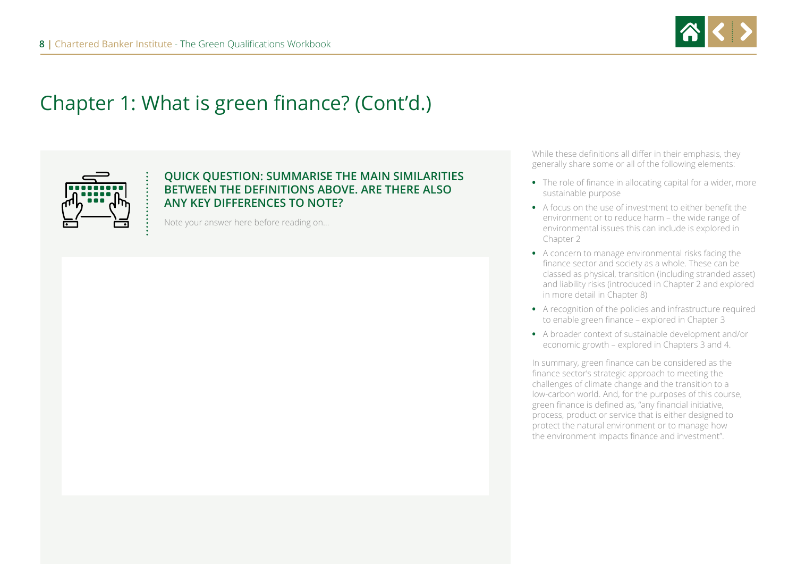



### **QUICK QUESTION: SUMMARISE THE MAIN SIMILARITIES BETWEEN THE DEFINITIONS ABOVE. ARE THERE ALSO ANY KEY DIFFERENCES TO NOTE?**

Note your answer here before reading on…

While these definitions all differ in their emphasis, they generally share some or all of the following elements:

- **•** The role of finance in allocating capital for a wider, more sustainable purpose
- **•** A focus on the use of investment to either benefit the environment or to reduce harm – the wide range of environmental issues this can include is explored in Chapter 2
- **•** A concern to manage environmental risks facing the finance sector and society as a whole. These can be classed as physical, transition (including stranded asset) and liability risks (introduced in Chapter 2 and explored in more detail in Chapter 8)
- **•** A recognition of the policies and infrastructure required to enable green finance – explored in Chapter 3
- **•** A broader context of sustainable development and/or economic growth – explored in Chapters 3 and 4.

In summary, green finance can be considered as the finance sector's strategic approach to meeting the challenges of climate change and the transition to a low-carbon world. And, for the purposes of this course, green finance is defined as, "any financial initiative, process, product or service that is either designed to protect the natural environment or to manage how the environment impacts finance and investment".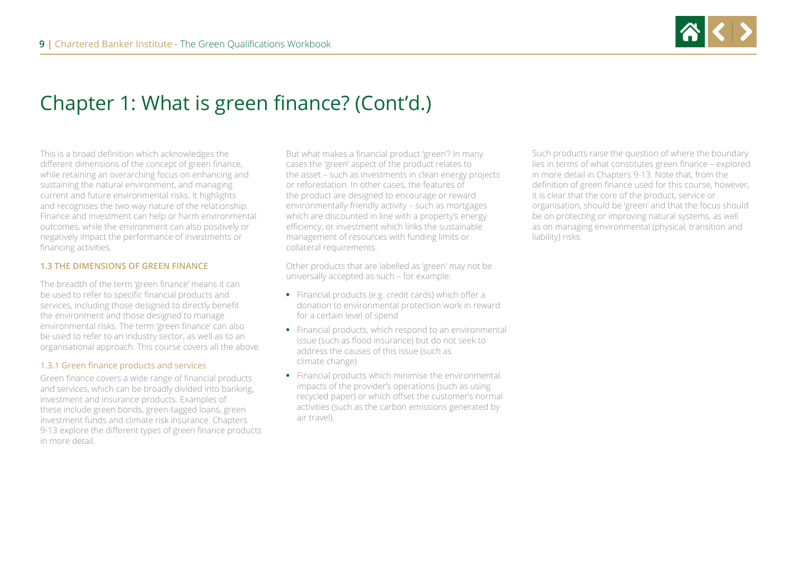

This is a broad definition which acknowledges the different dimensions of the concept of green finance, while retaining an overarching focus on enhancing and sustaining the natural environment, and managing current and future environmental risks. It highlights and recognises the two-way nature of the relationship. Finance and investment can help or harm environmental outcomes, while the environment can also positively or negatively impact the performance of investments or financing activities.

#### **1.3 THE DIMENSIONS OF GREEN FINANCE**

The breadth of the term 'green finance' means it can be used to refer to specific financial products and services, including those designed to directly benefit the environment and those designed to manage environmental risks. The term 'green finance' can also be used to refer to an industry sector, as well as to an organisational approach. This course covers all the above.

#### 1.3.1 Green finance products and services

Green finance covers a wide range of financial products and services, which can be broadly divided into banking, investment and insurance products. Examples of these include green bonds, green-tagged loans, green investment funds and climate risk insurance. Chapters 9-13 explore the different types of green finance products in more detail.

But what makes a financial product 'green'? In many cases the 'green' aspect of the product relates to the asset – such as investments in clean energy projects or reforestation. In other cases, the features of the product are designed to encourage or reward environmentally-friendly activity – such as mortgages which are discounted in line with a property's energy efficiency, or investment which links the sustainable management of resources with funding limits or collateral requirements.

Other products that are labelled as 'green' may not be universally accepted as such – for example:

- **•** Financial products (e.g. credit cards) which offer a donation to environmental protection work in reward for a certain level of spend
- **•** Financial products, which respond to an environmental issue (such as flood insurance) but do not seek to address the causes of this issue (such as climate change)
- **•** Financial products which minimise the environmental impacts of the provider's operations (such as using recycled paper) or which offset the customer's normal activities (such as the carbon emissions generated by air travel).

Such products raise the question of where the boundary lies in terms of what constitutes green finance – explored in more detail in Chapters 9-13. Note that, from the definition of green finance used for this course, however, it is clear that the core of the product, service or organisation, should be 'green' and that the focus should be on protecting or improving natural systems, as well as on managing environmental (physical, transition and liability) risks.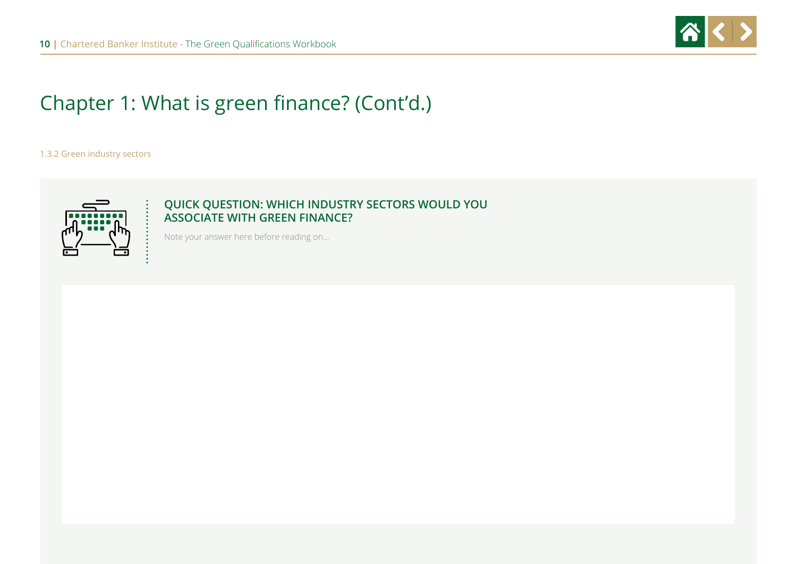

#### 1.3.2 Green industry sectors



### **QUICK QUESTION: WHICH INDUSTRY SECTORS WOULD YOU ASSOCIATE WITH GREEN FINANCE?**

Note your answer here before reading on…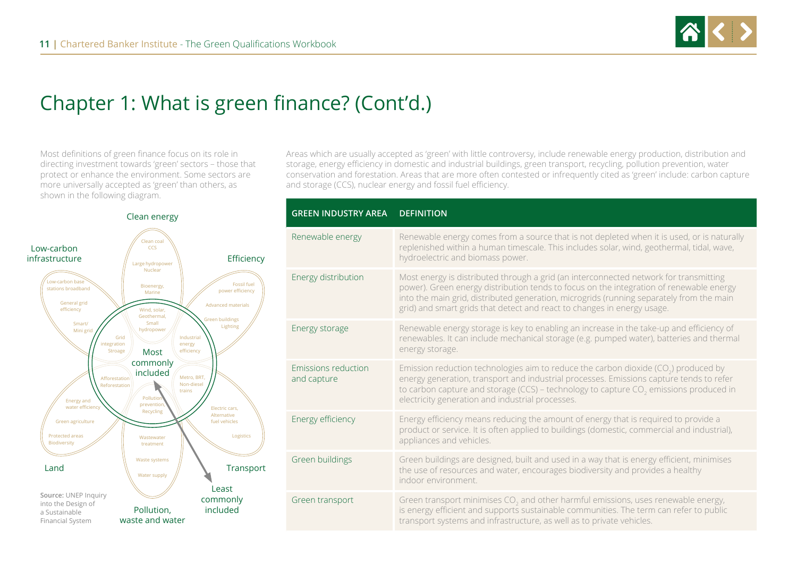

Most definitions of green finance focus on its role in directing investment towards 'green' sectors – those that protect or enhance the environment. Some sectors are more universally accepted as 'green' than others, as shown in the following diagram.



Areas which are usually accepted as 'green' with little controversy, include renewable energy production, distribution and storage, energy efficiency in domestic and industrial buildings, green transport, recycling, pollution prevention, water conservation and forestation. Areas that are more often contested or infrequently cited as 'green' include: carbon capture and storage (CCS), nuclear energy and fossil fuel efficiency.

| <b>GREEN INDUSTRY AREA</b>         | <b>DEFINITION</b>                                                                                                                                                                                                                                                                                                                                       |
|------------------------------------|---------------------------------------------------------------------------------------------------------------------------------------------------------------------------------------------------------------------------------------------------------------------------------------------------------------------------------------------------------|
| Renewable energy                   | Renewable energy comes from a source that is not depleted when it is used, or is naturally<br>replenished within a human timescale. This includes solar, wind, geothermal, tidal, wave,<br>hydroelectric and biomass power.                                                                                                                             |
| Energy distribution                | Most energy is distributed through a grid (an interconnected network for transmitting<br>power). Green energy distribution tends to focus on the integration of renewable energy<br>into the main grid, distributed generation, microgrids (running separately from the main<br>grid) and smart grids that detect and react to changes in energy usage. |
| Energy storage                     | Renewable energy storage is key to enabling an increase in the take-up and efficiency of<br>renewables. It can include mechanical storage (e.g. pumped water), batteries and thermal<br>energy storage.                                                                                                                                                 |
| Emissions reduction<br>and capture | Emission reduction technologies aim to reduce the carbon dioxide (CO <sub>2</sub> ) produced by<br>energy generation, transport and industrial processes. Emissions capture tends to refer<br>to carbon capture and storage (CCS) - technology to capture CO <sub>2</sub> emissions produced in<br>electricity generation and industrial processes.     |
| Energy efficiency                  | Energy efficiency means reducing the amount of energy that is required to provide a<br>product or service. It is often applied to buildings (domestic, commercial and industrial),<br>appliances and vehicles.                                                                                                                                          |
| Green buildings                    | Green buildings are designed, built and used in a way that is energy efficient, minimises<br>the use of resources and water, encourages biodiversity and provides a healthy<br>indoor environment.                                                                                                                                                      |
| Green transport                    | Green transport minimises $CO2$ and other harmful emissions, uses renewable energy,<br>is energy efficient and supports sustainable communities. The term can refer to public<br>transport systems and infrastructure, as well as to private vehicles.                                                                                                  |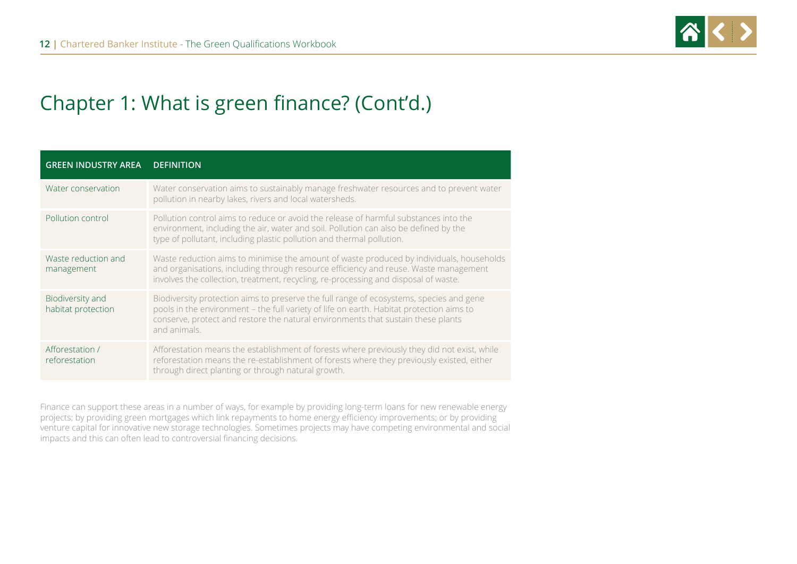

| <b>GREEN INDUSTRY AREA</b>             | <b>DEFINITION</b>                                                                                                                                                                                                                                                                       |
|----------------------------------------|-----------------------------------------------------------------------------------------------------------------------------------------------------------------------------------------------------------------------------------------------------------------------------------------|
| Water conservation                     | Water conservation aims to sustainably manage freshwater resources and to prevent water<br>pollution in nearby lakes, rivers and local watersheds.                                                                                                                                      |
| Pollution control                      | Pollution control aims to reduce or avoid the release of harmful substances into the<br>environment, including the air, water and soil. Pollution can also be defined by the<br>type of pollutant, including plastic pollution and thermal pollution.                                   |
| Waste reduction and<br>management      | Waste reduction aims to minimise the amount of waste produced by individuals, households<br>and organisations, including through resource efficiency and reuse. Waste management<br>involves the collection, treatment, recycling, re-processing and disposal of waste.                 |
| Biodiversity and<br>habitat protection | Biodiversity protection aims to preserve the full range of ecosystems, species and gene<br>pools in the environment - the full variety of life on earth. Habitat protection aims to<br>conserve, protect and restore the natural environments that sustain these plants<br>and animals. |
| Afforestation /<br>reforestation       | Afforestation means the establishment of forests where previously they did not exist, while<br>reforestation means the re-establishment of forests where they previously existed, either<br>through direct planting or through natural growth.                                          |

Finance can support these areas in a number of ways, for example by providing long-term loans for new renewable energy projects; by providing green mortgages which link repayments to home energy efficiency improvements; or by providing venture capital for innovative new storage technologies. Sometimes projects may have competing environmental and social impacts and this can often lead to controversial financing decisions.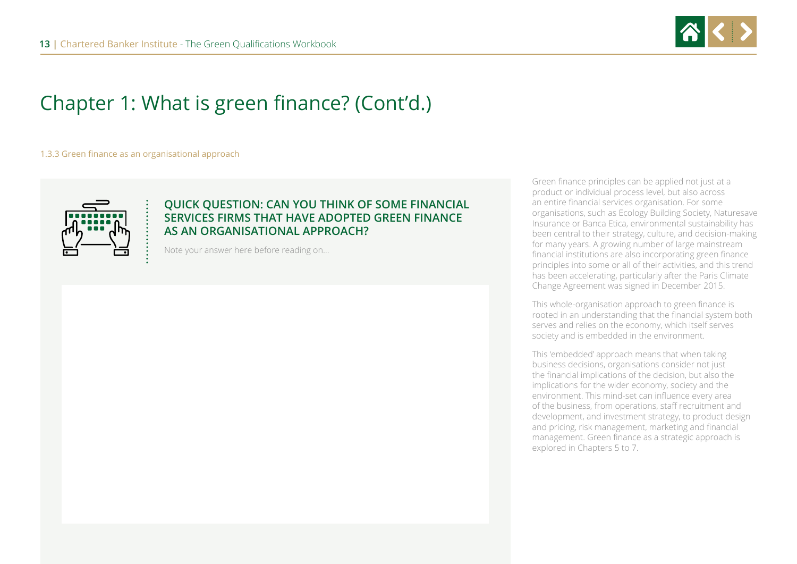

1.3.3 Green finance as an organisational approach



#### **QUICK QUESTION: CAN YOU THINK OF SOME FINANCIAL SERVICES FIRMS THAT HAVE ADOPTED GREEN FINANCE AS AN ORGANISATIONAL APPROACH?**

Note your answer here before reading on…

Green finance principles can be applied not just at a product or individual process level, but also across an entire financial services organisation. For some organisations, such as Ecology Building Society, Naturesave Insurance or Banca Etica, environmental sustainability has been central to their strategy, culture, and decision-making for many years. A growing number of large mainstream financial institutions are also incorporating green finance principles into some or all of their activities, and this trend has been accelerating, particularly after the Paris Climate Change Agreement was signed in December 2015.

This whole-organisation approach to green finance is rooted in an understanding that the financial system both serves and relies on the economy, which itself serves society and is embedded in the environment.

This 'embedded' approach means that when taking business decisions, organisations consider not just the financial implications of the decision, but also the implications for the wider economy, society and the environment. This mind-set can influence every area of the business, from operations, staff recruitment and development, and investment strategy, to product design and pricing, risk management, marketing and financial management. Green finance as a strategic approach is explored in Chapters 5 to 7.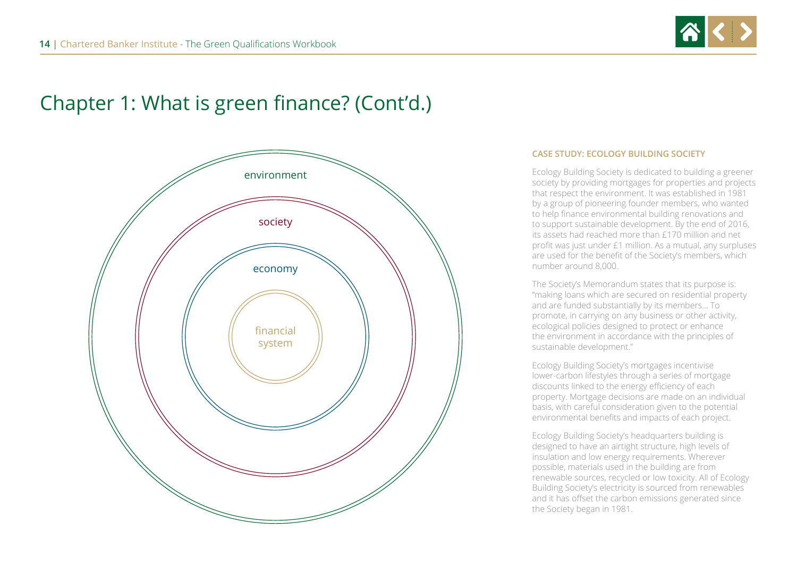



#### **CASE STUDY: ECOLOGY BUILDING SOCIETY**

Ecology Building Society is dedicated to building a greener society by providing mortgages for properties and projects that respect the environment. It was established in 1981 by a group of pioneering founder members, who wanted to help finance environmental building renovations and to support sustainable development. By the end of 2016, its assets had reached more than £170 million and net profit was just under £1 million. As a mutual, any surpluses are used for the benefit of the Society's members, which number around 8,000.

The Society's Memorandum states that its purpose is: "making loans which are secured on residential property and are funded substantially by its members… To promote, in carrying on any business or other activity, ecological policies designed to protect or enhance the environment in accordance with the principles of sustainable development."

Ecology Building Society's mortgages incentivise lower-carbon lifestyles through a series of mortgage discounts linked to the energy efficiency of each property. Mortgage decisions are made on an individual basis, with careful consideration given to the potential environmental benefits and impacts of each project.

Ecology Building Society's headquarters building is designed to have an airtight structure, high levels of insulation and low energy requirements. Wherever possible, materials used in the building are from renewable sources, recycled or low toxicity. All of Ecology Building Society's electricity is sourced from renewables and it has offset the carbon emissions generated since the Society began in 1981.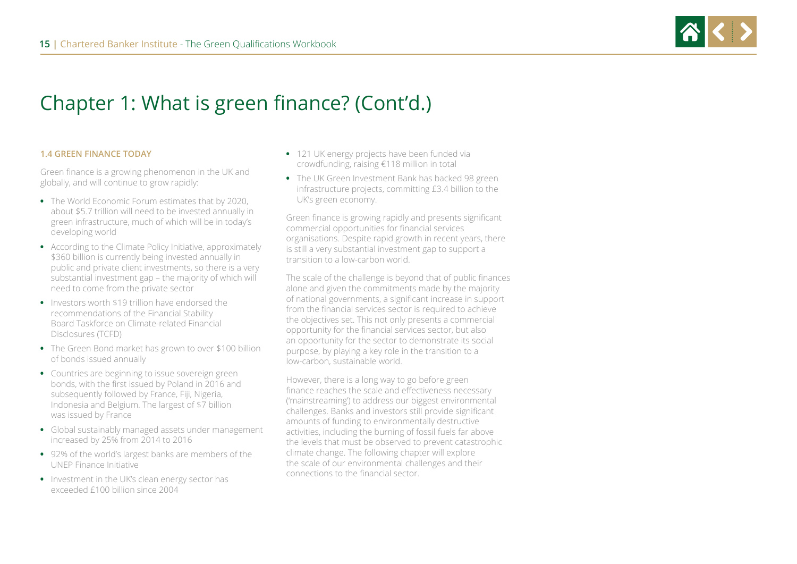

#### **1.4 GREEN FINANCE TODAY**

Green finance is a growing phenomenon in the UK and globally, and will continue to grow rapidly:

- **•** The World Economic Forum estimates that by 2020, about \$5.7 trillion will need to be invested annually in green infrastructure, much of which will be in today's developing world
- **•** According to the Climate Policy Initiative, approximately \$360 billion is currently being invested annually in public and private client investments, so there is a very substantial investment gap – the majority of which will need to come from the private sector
- **•** Investors worth \$19 trillion have endorsed the recommendations of the Financial Stability Board Taskforce on Climate-related Financial Disclosures (TCFD)
- **•** The Green Bond market has grown to over \$100 billion of bonds issued annually
- **•** Countries are beginning to issue sovereign green bonds, with the first issued by Poland in 2016 and subsequently followed by France, Fiji, Nigeria, Indonesia and Belgium. The largest of \$7 billion was issued by France
- **•** Global sustainably managed assets under management increased by 25% from 2014 to 2016
- **•** 92% of the world's largest banks are members of the UNEP Finance Initiative
- **•** Investment in the UK's clean energy sector has exceeded £100 billion since 2004
- **•** 121 UK energy projects have been funded via crowdfunding, raising €118 million in total
- **•** The UK Green Investment Bank has backed 98 green infrastructure projects, committing £3.4 billion to the UK's green economy.

Green finance is growing rapidly and presents significant commercial opportunities for financial services organisations. Despite rapid growth in recent years, there is still a very substantial investment gap to support a transition to a low-carbon world.

The scale of the challenge is beyond that of public finances alone and given the commitments made by the majority of national governments, a significant increase in support from the financial services sector is required to achieve the objectives set. This not only presents a commercial opportunity for the financial services sector, but also an opportunity for the sector to demonstrate its social purpose, by playing a key role in the transition to a low-carbon, sustainable world.

However, there is a long way to go before green finance reaches the scale and effectiveness necessary ('mainstreaming') to address our biggest environmental challenges. Banks and investors still provide significant amounts of funding to environmentally destructive activities, including the burning of fossil fuels far above the levels that must be observed to prevent catastrophic climate change. The following chapter will explore the scale of our environmental challenges and their connections to the financial sector.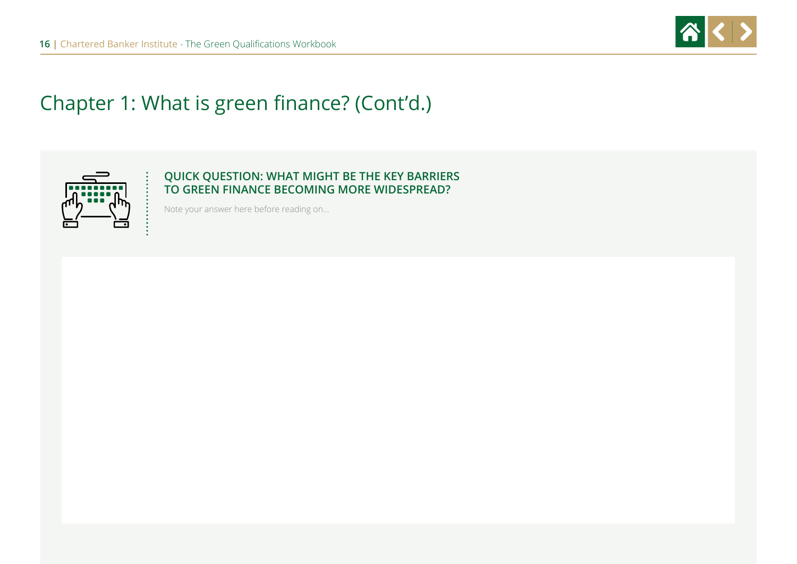



### **QUICK QUESTION: WHAT MIGHT BE THE KEY BARRIERS TO GREEN FINANCE BECOMING MORE WIDESPREAD?**

Note your answer here before reading on…